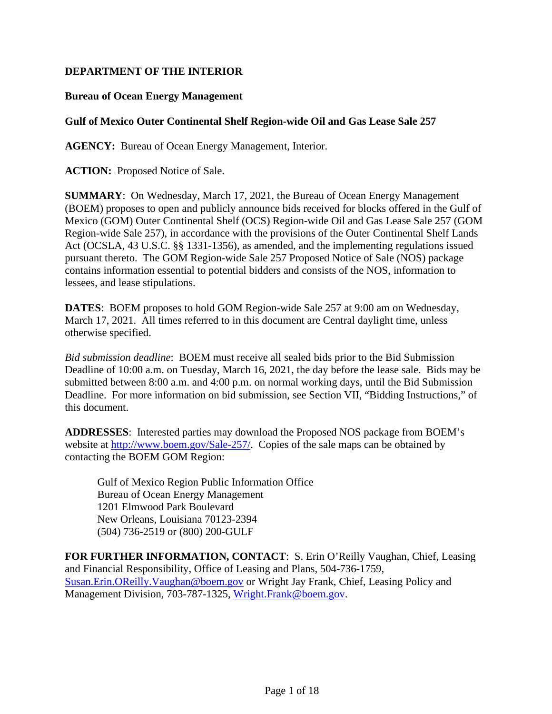#### **DEPARTMENT OF THE INTERIOR**

#### **Bureau of Ocean Energy Management**

#### **Gulf of Mexico Outer Continental Shelf Region-wide Oil and Gas Lease Sale 257**

**AGENCY:** Bureau of Ocean Energy Management, Interior.

**ACTION:** Proposed Notice of Sale.

**SUMMARY**: On Wednesday, March 17, 2021, the Bureau of Ocean Energy Management (BOEM) proposes to open and publicly announce bids received for blocks offered in the Gulf of Mexico (GOM) Outer Continental Shelf (OCS) Region-wide Oil and Gas Lease Sale 257 (GOM Region-wide Sale 257), in accordance with the provisions of the Outer Continental Shelf Lands Act (OCSLA, 43 U.S.C. §§ 1331-1356), as amended, and the implementing regulations issued pursuant thereto. The GOM Region-wide Sale 257 Proposed Notice of Sale (NOS) package contains information essential to potential bidders and consists of the NOS, information to lessees, and lease stipulations.

**DATES**: BOEM proposes to hold GOM Region-wide Sale 257 at 9:00 am on Wednesday, March 17, 2021. All times referred to in this document are Central daylight time, unless otherwise specified.

*Bid submission deadline*: BOEM must receive all sealed bids prior to the Bid Submission Deadline of 10:00 a.m. on Tuesday, March 16, 2021, the day before the lease sale. Bids may be submitted between 8:00 a.m. and 4:00 p.m. on normal working days, until the Bid Submission Deadline. For more information on bid submission, see Section VII, "Bidding Instructions," of this document.

**ADDRESSES**: Interested parties may download the Proposed NOS package from BOEM's website at [http://www.boem.gov/Sale-257/.](http://www.boem.gov/Sale-257/) Copies of the sale maps can be obtained by contacting the BOEM GOM Region:

Gulf of Mexico Region Public Information Office Bureau of Ocean Energy Management 1201 Elmwood Park Boulevard New Orleans, Louisiana 70123-2394 (504) 736-2519 or (800) 200-GULF

**FOR FURTHER INFORMATION, CONTACT**: S. Erin O'Reilly Vaughan, Chief, Leasing and Financial Responsibility, Office of Leasing and Plans, 504-736-1759, Susan.Erin.OReilly.Vaughan@boem.gov or Wright Jay Frank, Chief, Leasing Policy and Management Division, 703-787-1325, [Wright.Frank@boem.gov.](mailto:Wright.Frank@boem.gov)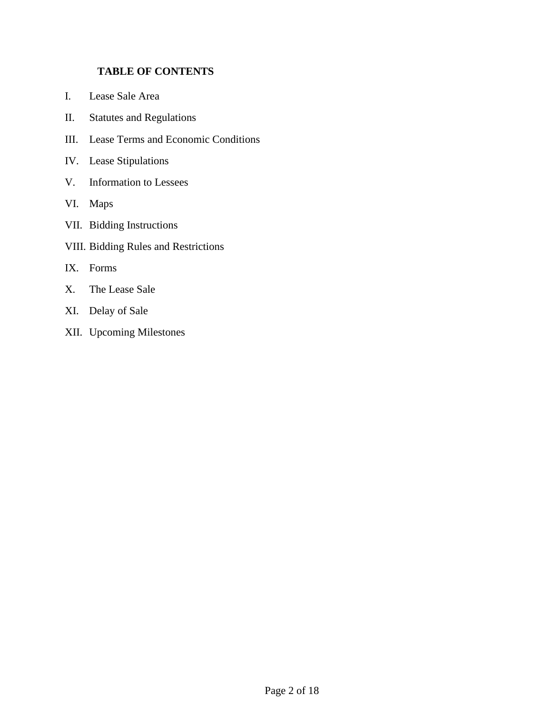#### **TABLE OF CONTENTS**

- I. [Lease Sale Area](#page-2-0)
- II. [Statutes and Regulations](#page-4-0)
- III. [Lease Terms and Economic Conditions](#page-4-1)
- IV. [Lease Stipulations](#page-7-0)
- V. [Information to Lessees](#page-7-1)
- VI. [Maps](#page-8-0)
- VII. [Bidding Instructions](#page-8-1)
- VIII. [Bidding Rules and Restrictions](#page-14-0)
- IX. [Forms](#page-15-0)
- X. [The Lease Sale](#page-15-1)
- XI. [Delay of Sale](#page-17-0)
- XII. [Upcoming Milestones](#page-17-1)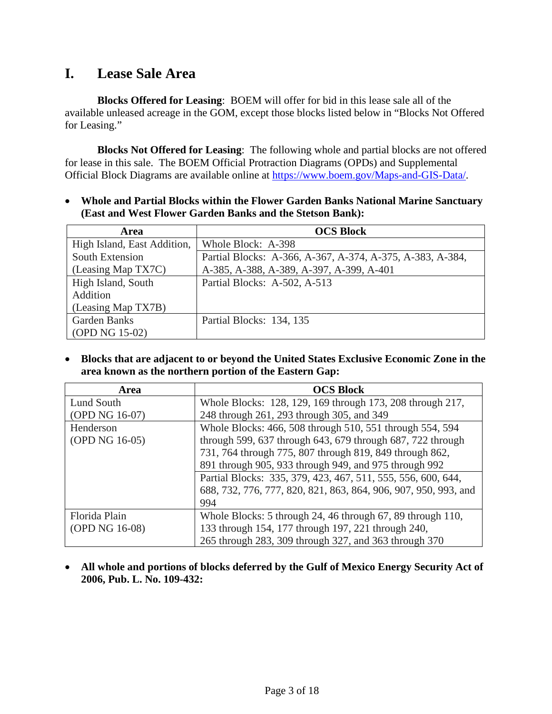# <span id="page-2-0"></span>**I. Lease Sale Area**

**Blocks Offered for Leasing**: BOEM will offer for bid in this lease sale all of the available unleased acreage in the GOM, except those blocks listed below in "Blocks Not Offered for Leasing."

**Blocks Not Offered for Leasing**: The following whole and partial blocks are not offered for lease in this sale. The BOEM Official Protraction Diagrams (OPDs) and Supplemental Official Block Diagrams are available online at [https://www.boem.gov/Maps-and-GIS-Data/.](https://www.boem.gov/Maps-and-GIS-Data/)

• **Whole and Partial Blocks within the Flower Garden Banks National Marine Sanctuary (East and West Flower Garden Banks and the Stetson Bank):**

| <b>Area</b>                 | <b>OCS Block</b>                                          |
|-----------------------------|-----------------------------------------------------------|
| High Island, East Addition, | Whole Block: A-398                                        |
| South Extension             | Partial Blocks: A-366, A-367, A-374, A-375, A-383, A-384, |
| (Leasing Map TX7C)          | A-385, A-388, A-389, A-397, A-399, A-401                  |
| High Island, South          | Partial Blocks: A-502, A-513                              |
| Addition                    |                                                           |
| (Leasing Map TX7B)          |                                                           |
| <b>Garden Banks</b>         | Partial Blocks: 134, 135                                  |
| (OPD NG 15-02)              |                                                           |

• **Blocks that are adjacent to or beyond the United States Exclusive Economic Zone in the area known as the northern portion of the Eastern Gap:**

| <b>Area</b>    | <b>OCS Block</b>                                                |  |  |  |
|----------------|-----------------------------------------------------------------|--|--|--|
| Lund South     | Whole Blocks: 128, 129, 169 through 173, 208 through 217,       |  |  |  |
| (OPD NG 16-07) | 248 through 261, 293 through 305, and 349                       |  |  |  |
| Henderson      | Whole Blocks: 466, 508 through 510, 551 through 554, 594        |  |  |  |
| (OPD NG 16-05) | through 599, 637 through 643, 679 through 687, 722 through      |  |  |  |
|                | 731, 764 through 775, 807 through 819, 849 through 862,         |  |  |  |
|                | 891 through 905, 933 through 949, and 975 through 992           |  |  |  |
|                | Partial Blocks: 335, 379, 423, 467, 511, 555, 556, 600, 644,    |  |  |  |
|                | 688, 732, 776, 777, 820, 821, 863, 864, 906, 907, 950, 993, and |  |  |  |
|                | 994                                                             |  |  |  |
| Florida Plain  | Whole Blocks: 5 through 24, 46 through 67, 89 through 110,      |  |  |  |
| (OPD NG 16-08) | 133 through 154, 177 through 197, 221 through 240,              |  |  |  |
|                | 265 through 283, 309 through 327, and 363 through 370           |  |  |  |

• **All whole and portions of blocks deferred by the Gulf of Mexico Energy Security Act of 2006, Pub. L. No. 109-432:**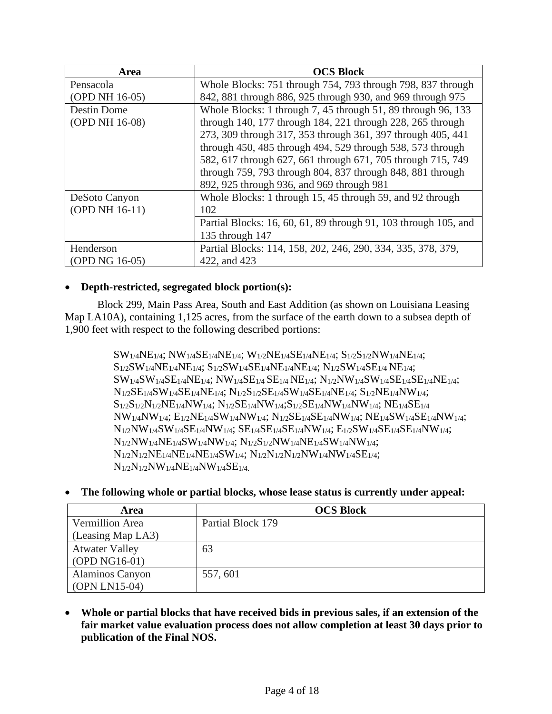| Area           | <b>OCS Block</b>                                                |  |  |  |
|----------------|-----------------------------------------------------------------|--|--|--|
| Pensacola      | Whole Blocks: 751 through 754, 793 through 798, 837 through     |  |  |  |
| (OPD NH 16-05) | 842, 881 through 886, 925 through 930, and 969 through 975      |  |  |  |
| Destin Dome    | Whole Blocks: 1 through 7, 45 through 51, 89 through 96, 133    |  |  |  |
| (OPD NH 16-08) | through 140, 177 through 184, 221 through 228, 265 through      |  |  |  |
|                | 273, 309 through 317, 353 through 361, 397 through 405, 441     |  |  |  |
|                | through 450, 485 through 494, 529 through 538, 573 through      |  |  |  |
|                | 582, 617 through 627, 661 through 671, 705 through 715, 749     |  |  |  |
|                | through 759, 793 through 804, 837 through 848, 881 through      |  |  |  |
|                | 892, 925 through 936, and 969 through 981                       |  |  |  |
| DeSoto Canyon  | Whole Blocks: 1 through 15, 45 through 59, and 92 through       |  |  |  |
| (OPD NH 16-11) | 102                                                             |  |  |  |
|                | Partial Blocks: 16, 60, 61, 89 through 91, 103 through 105, and |  |  |  |
|                | 135 through 147                                                 |  |  |  |
| Henderson      | Partial Blocks: 114, 158, 202, 246, 290, 334, 335, 378, 379,    |  |  |  |
| (OPD NG 16-05) | 422, and 423                                                    |  |  |  |

#### • **Depth-restricted, segregated block portion(s):**

Block 299, Main Pass Area, South and East Addition (as shown on Louisiana Leasing Map LA10A), containing 1,125 acres, from the surface of the earth down to a subsea depth of 1,900 feet with respect to the following described portions:

> SW1/4NE1/4; NW1/4SE1/4NE1/4; W1/2NE1/4SE1/4NE1/4; S1/2S1/2NW1/4NE1/4; S1/2SW1/4NE1/4NE1/4; S1/2SW1/4SE1/4NE1/4NE1/4; N1/2SW1/4SE1/4 NE1/4;  $SW_{1/4}SW_{1/4}SE_{1/4}NE_{1/4}$ ;  $NW_{1/4}SE_{1/4}SE_{1/4}NE_{1/4}$ ;  $N_{1/2}NW_{1/4}SW_{1/4}SE_{1/4}SE_{1/4}NE_{1/4}$ ;  $N_{1/2}SE_{1/4}SW_{1/4}SE_{1/4}NE_{1/4}$ ;  $N_{1/2}S_{1/2}SE_{1/4}SW_{1/4}SE_{1/4}NE_{1/4}$ ;  $S_{1/2}NE_{1/4}NW_{1/4}$ ;  $S_{1/2}S_{1/2}N_{1/2}NE_{1/4}NW_{1/4}$ ;  $N_{1/2}SE_{1/4}NW_{1/4}$ ;  $S_{1/2}SE_{1/4}NW_{1/4}$ ;  $NE_{1/4}SE_{1/4}$ NW1/4NW1/4; E1/2NE1/4SW1/4NW1/4; N1/2SE1/4SE1/4NW1/4; NE1/4SW1/4SE1/4NW1/4; N1/2NW1/4SW1/4SE1/4NW1/4; SE1/4SE1/4SE1/4NW1/4; E1/2SW1/4SE1/4SE1/4NW1/4;  $N_{1/2}NW_{1/4}NE_{1/4}SW_{1/4}NW_{1/4}$ ;  $N_{1/2}S_{1/2}NW_{1/4}NE_{1/4}SW_{1/4}NW_{1/4}$ ;  $N_{1/2}N_{1/2}NE_{1/4}NE_{1/4}NE_{1/4}SW_{1/4}$ ;  $N_{1/2}N_{1/2}N_{1/2}NW_{1/4}SW_{1/4}SE_{1/4}$ ;  $N_{1/2}N_{1/2}NW_{1/4}NE_{1/4}NW_{1/4}SE_{1/4}$ .

• **The following whole or partial blocks, whose lease status is currently under appeal:** 

| <b>Area</b>            | <b>OCS Block</b>  |  |
|------------------------|-------------------|--|
| Vermillion Area        | Partial Block 179 |  |
| (Leasing Map LA3)      |                   |  |
| <b>Atwater Valley</b>  | 63                |  |
| (OPD NG16-01)          |                   |  |
| <b>Alaminos Canyon</b> | 557, 601          |  |
| (OPN LN15-04)          |                   |  |

• **Whole or partial blocks that have received bids in previous sales, if an extension of the fair market value evaluation process does not allow completion at least 30 days prior to publication of the Final NOS.**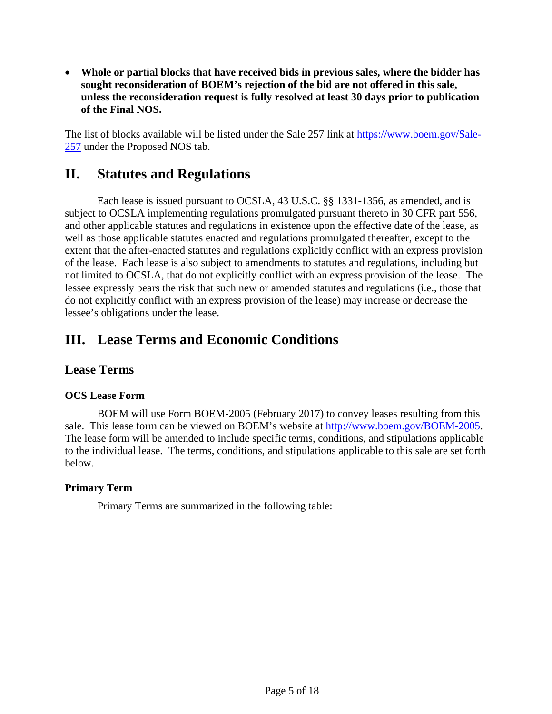• **Whole or partial blocks that have received bids in previous sales, where the bidder has sought reconsideration of BOEM's rejection of the bid are not offered in this sale, unless the reconsideration request is fully resolved at least 30 days prior to publication of the Final NOS.**

The list of blocks available will be listed under the Sale 257 link at [https://www.boem.gov/Sale-](https://www.boem.gov/Sale-257)[257](https://www.boem.gov/Sale-257) under the Proposed NOS tab.

## <span id="page-4-0"></span>**II. Statutes and Regulations**

Each lease is issued pursuant to OCSLA, 43 U.S.C. §§ 1331-1356, as amended, and is subject to OCSLA implementing regulations promulgated pursuant thereto in 30 CFR part 556, and other applicable statutes and regulations in existence upon the effective date of the lease, as well as those applicable statutes enacted and regulations promulgated thereafter, except to the extent that the after-enacted statutes and regulations explicitly conflict with an express provision of the lease. Each lease is also subject to amendments to statutes and regulations, including but not limited to OCSLA, that do not explicitly conflict with an express provision of the lease. The lessee expressly bears the risk that such new or amended statutes and regulations (i.e., those that do not explicitly conflict with an express provision of the lease) may increase or decrease the lessee's obligations under the lease.

## <span id="page-4-1"></span>**III. Lease Terms and Economic Conditions**

#### **Lease Terms**

#### **OCS Lease Form**

BOEM will use Form BOEM-2005 (February 2017) to convey leases resulting from this sale. This lease form can be viewed on BOEM's website at [http://www.boem.gov/BOEM-2005.](http://www.boem.gov/BOEM-2005) The lease form will be amended to include specific terms, conditions, and stipulations applicable to the individual lease. The terms, conditions, and stipulations applicable to this sale are set forth below.

#### **Primary Term**

Primary Terms are summarized in the following table: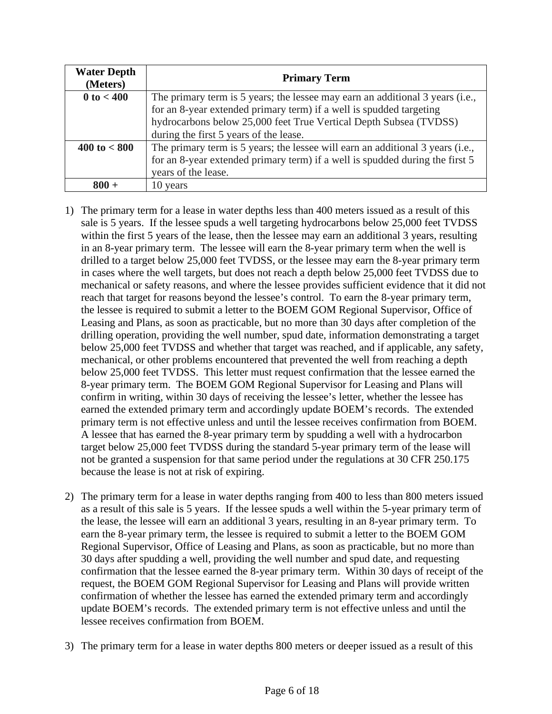| <b>Water Depth</b><br>(Meters) | <b>Primary Term</b>                                                                                                                                                                                                                                                 |
|--------------------------------|---------------------------------------------------------------------------------------------------------------------------------------------------------------------------------------------------------------------------------------------------------------------|
| $0 \text{ to } < 400$          | The primary term is 5 years; the lessee may earn an additional 3 years (i.e.,<br>for an 8-year extended primary term) if a well is spudded targeting<br>hydrocarbons below 25,000 feet True Vertical Depth Subsea (TVDSS)<br>during the first 5 years of the lease. |
| $400 \text{ to} < 800$         | The primary term is 5 years; the lessee will earn an additional 3 years (i.e.,<br>for an 8-year extended primary term) if a well is spudded during the first 5<br>years of the lease.                                                                               |
| $800 -$                        | 10 years                                                                                                                                                                                                                                                            |

- 1) The primary term for a lease in water depths less than 400 meters issued as a result of this sale is 5 years. If the lessee spuds a well targeting hydrocarbons below 25,000 feet TVDSS within the first 5 years of the lease, then the lessee may earn an additional 3 years, resulting in an 8-year primary term. The lessee will earn the 8-year primary term when the well is drilled to a target below 25,000 feet TVDSS, or the lessee may earn the 8-year primary term in cases where the well targets, but does not reach a depth below 25,000 feet TVDSS due to mechanical or safety reasons, and where the lessee provides sufficient evidence that it did not reach that target for reasons beyond the lessee's control. To earn the 8-year primary term, the lessee is required to submit a letter to the BOEM GOM Regional Supervisor, Office of Leasing and Plans, as soon as practicable, but no more than 30 days after completion of the drilling operation, providing the well number, spud date, information demonstrating a target below 25,000 feet TVDSS and whether that target was reached, and if applicable, any safety, mechanical, or other problems encountered that prevented the well from reaching a depth below 25,000 feet TVDSS. This letter must request confirmation that the lessee earned the 8-year primary term. The BOEM GOM Regional Supervisor for Leasing and Plans will confirm in writing, within 30 days of receiving the lessee's letter, whether the lessee has earned the extended primary term and accordingly update BOEM's records. The extended primary term is not effective unless and until the lessee receives confirmation from BOEM. A lessee that has earned the 8-year primary term by spudding a well with a hydrocarbon target below 25,000 feet TVDSS during the standard 5-year primary term of the lease will not be granted a suspension for that same period under the regulations at 30 CFR 250.175 because the lease is not at risk of expiring.
- 2) The primary term for a lease in water depths ranging from 400 to less than 800 meters issued as a result of this sale is 5 years. If the lessee spuds a well within the 5-year primary term of the lease, the lessee will earn an additional 3 years, resulting in an 8-year primary term. To earn the 8-year primary term, the lessee is required to submit a letter to the BOEM GOM Regional Supervisor, Office of Leasing and Plans, as soon as practicable, but no more than 30 days after spudding a well, providing the well number and spud date, and requesting confirmation that the lessee earned the 8-year primary term. Within 30 days of receipt of the request, the BOEM GOM Regional Supervisor for Leasing and Plans will provide written confirmation of whether the lessee has earned the extended primary term and accordingly update BOEM's records. The extended primary term is not effective unless and until the lessee receives confirmation from BOEM.
- 3) The primary term for a lease in water depths 800 meters or deeper issued as a result of this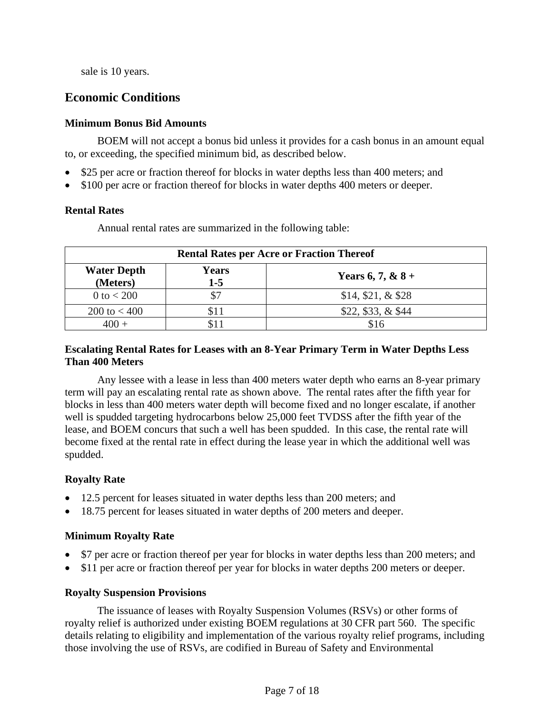sale is 10 years.

### **Economic Conditions**

#### **Minimum Bonus Bid Amounts**

BOEM will not accept a bonus bid unless it provides for a cash bonus in an amount equal to, or exceeding, the specified minimum bid, as described below.

- \$25 per acre or fraction thereof for blocks in water depths less than 400 meters; and
- \$100 per acre or fraction thereof for blocks in water depths 400 meters or deeper.

#### **Rental Rates**

Annual rental rates are summarized in the following table:

| <b>Rental Rates per Acre or Fraction Thereof</b> |                       |                     |  |  |
|--------------------------------------------------|-----------------------|---------------------|--|--|
| <b>Water Depth</b><br>(Meters)                   | <b>Years</b><br>$1-5$ | Years 6, 7, & $8 +$ |  |  |
| 0 to $< 200$                                     | \$7                   | $$14, $21, \& $28$  |  |  |
| $200 \text{ to } 400$                            | \$11                  | $$22, $33, \& $44$  |  |  |
|                                                  |                       | \$16                |  |  |

#### **Escalating Rental Rates for Leases with an 8-Year Primary Term in Water Depths Less Than 400 Meters**

Any lessee with a lease in less than 400 meters water depth who earns an 8-year primary term will pay an escalating rental rate as shown above. The rental rates after the fifth year for blocks in less than 400 meters water depth will become fixed and no longer escalate, if another well is spudded targeting hydrocarbons below 25,000 feet TVDSS after the fifth year of the lease, and BOEM concurs that such a well has been spudded. In this case, the rental rate will become fixed at the rental rate in effect during the lease year in which the additional well was spudded.

#### **Royalty Rate**

- 12.5 percent for leases situated in water depths less than 200 meters; and
- 18.75 percent for leases situated in water depths of 200 meters and deeper.

#### **Minimum Royalty Rate**

- \$7 per acre or fraction thereof per year for blocks in water depths less than 200 meters; and
- \$11 per acre or fraction thereof per year for blocks in water depths 200 meters or deeper.

#### **Royalty Suspension Provisions**

The issuance of leases with Royalty Suspension Volumes (RSVs) or other forms of royalty relief is authorized under existing BOEM regulations at 30 CFR part 560. The specific details relating to eligibility and implementation of the various royalty relief programs, including those involving the use of RSVs, are codified in Bureau of Safety and Environmental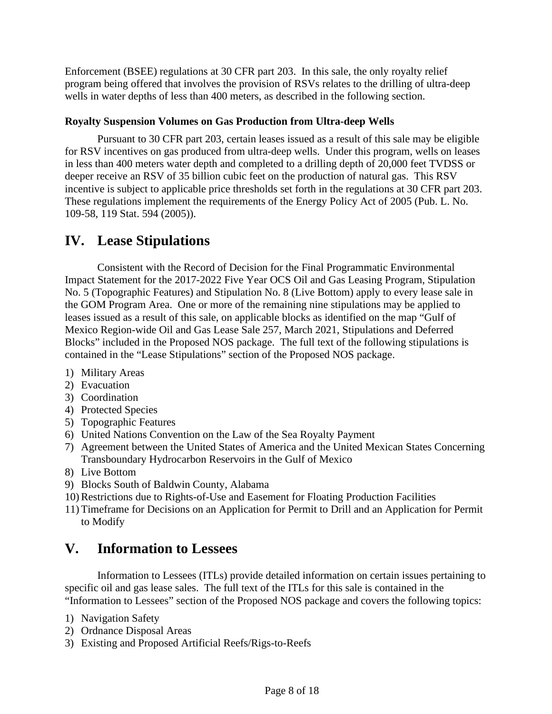Enforcement (BSEE) regulations at 30 CFR part 203. In this sale, the only royalty relief program being offered that involves the provision of RSVs relates to the drilling of ultra-deep wells in water depths of less than 400 meters, as described in the following section.

#### **Royalty Suspension Volumes on Gas Production from Ultra-deep Wells**

Pursuant to 30 CFR part 203, certain leases issued as a result of this sale may be eligible for RSV incentives on gas produced from ultra-deep wells. Under this program, wells on leases in less than 400 meters water depth and completed to a drilling depth of 20,000 feet TVDSS or deeper receive an RSV of 35 billion cubic feet on the production of natural gas. This RSV incentive is subject to applicable price thresholds set forth in the regulations at 30 CFR part 203. These regulations implement the requirements of the Energy Policy Act of 2005 (Pub. L. No. 109-58, 119 Stat. 594 (2005)).

## <span id="page-7-0"></span>**IV. Lease Stipulations**

Consistent with the Record of Decision for the Final Programmatic Environmental Impact Statement for the 2017-2022 Five Year OCS Oil and Gas Leasing Program, Stipulation No. 5 (Topographic Features) and Stipulation No. 8 (Live Bottom) apply to every lease sale in the GOM Program Area. One or more of the remaining nine stipulations may be applied to leases issued as a result of this sale, on applicable blocks as identified on the map "Gulf of Mexico Region-wide Oil and Gas Lease Sale 257, March 2021, Stipulations and Deferred Blocks" included in the Proposed NOS package. The full text of the following stipulations is contained in the "Lease Stipulations" section of the Proposed NOS package.

- 1) Military Areas
- 2) Evacuation
- 3) Coordination
- 4) Protected Species
- 5) Topographic Features
- 6) United Nations Convention on the Law of the Sea Royalty Payment
- 7) Agreement between the United States of America and the United Mexican States Concerning Transboundary Hydrocarbon Reservoirs in the Gulf of Mexico
- 8) Live Bottom
- 9) Blocks South of Baldwin County, Alabama
- 10) Restrictions due to Rights-of-Use and Easement for Floating Production Facilities
- 11) Timeframe for Decisions on an Application for Permit to Drill and an Application for Permit to Modify

## <span id="page-7-1"></span>**V. Information to Lessees**

Information to Lessees (ITLs) provide detailed information on certain issues pertaining to specific oil and gas lease sales. The full text of the ITLs for this sale is contained in the "Information to Lessees" section of the Proposed NOS package and covers the following topics:

- 1) Navigation Safety
- 2) Ordnance Disposal Areas
- 3) Existing and Proposed Artificial Reefs/Rigs-to-Reefs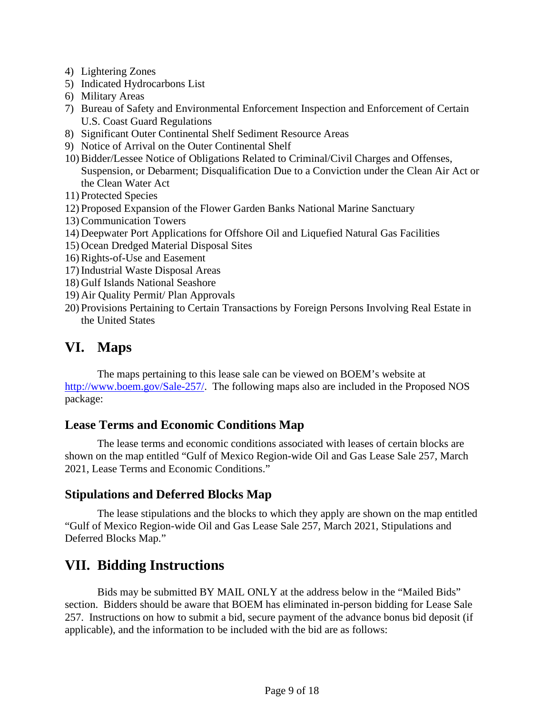- 4) Lightering Zones
- 5) Indicated Hydrocarbons List
- 6) Military Areas
- 7) Bureau of Safety and Environmental Enforcement Inspection and Enforcement of Certain U.S. Coast Guard Regulations
- 8) Significant Outer Continental Shelf Sediment Resource Areas
- 9) Notice of Arrival on the Outer Continental Shelf
- 10) Bidder/Lessee Notice of Obligations Related to Criminal/Civil Charges and Offenses, Suspension, or Debarment; Disqualification Due to a Conviction under the Clean Air Act or the Clean Water Act
- 11) Protected Species
- 12) Proposed Expansion of the Flower Garden Banks National Marine Sanctuary
- 13) Communication Towers
- 14) Deepwater Port Applications for Offshore Oil and Liquefied Natural Gas Facilities
- 15) Ocean Dredged Material Disposal Sites
- 16) Rights-of-Use and Easement
- 17) Industrial Waste Disposal Areas
- 18) Gulf Islands National Seashore
- 19) Air Quality Permit/ Plan Approvals
- 20) Provisions Pertaining to Certain Transactions by Foreign Persons Involving Real Estate in the United States

## <span id="page-8-0"></span>**VI. Maps**

The maps pertaining to this lease sale can be viewed on BOEM's website at [http://www.boem.gov/Sale-257](http://www.boem.gov/Sale-257/)[/.](http://www.boem.gov/Sale-254/) The following maps also are included in the Proposed NOS package:

## **Lease Terms and Economic Conditions Map**

The lease terms and economic conditions associated with leases of certain blocks are shown on the map entitled "Gulf of Mexico Region-wide Oil and Gas Lease Sale 257, March 2021, Lease Terms and Economic Conditions."

## **Stipulations and Deferred Blocks Map**

The lease stipulations and the blocks to which they apply are shown on the map entitled "Gulf of Mexico Region-wide Oil and Gas Lease Sale 257, March 2021, Stipulations and Deferred Blocks Map."

## <span id="page-8-1"></span>**VII. Bidding Instructions**

Bids may be submitted BY MAIL ONLY at the address below in the "Mailed Bids" section. Bidders should be aware that BOEM has eliminated in-person bidding for Lease Sale 257. Instructions on how to submit a bid, secure payment of the advance bonus bid deposit (if applicable), and the information to be included with the bid are as follows: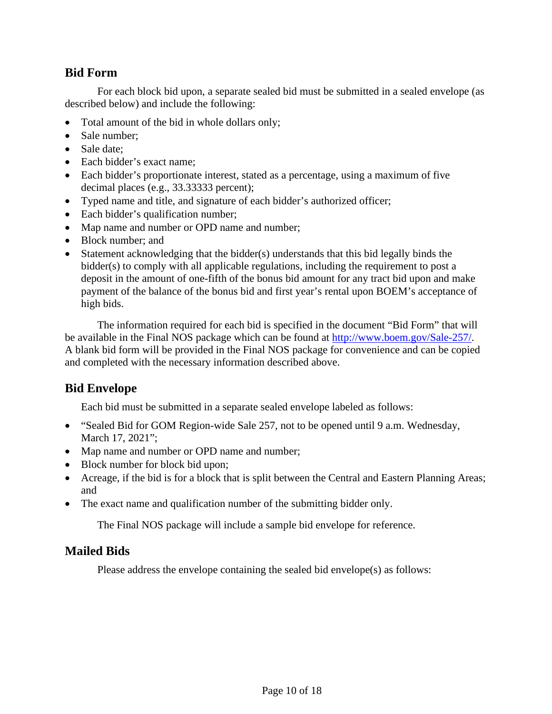### **Bid Form**

For each block bid upon, a separate sealed bid must be submitted in a sealed envelope (as described below) and include the following:

- Total amount of the bid in whole dollars only;
- Sale number:
- Sale date:
- Each bidder's exact name:
- Each bidder's proportionate interest, stated as a percentage, using a maximum of five decimal places (e.g., 33.33333 percent);
- Typed name and title, and signature of each bidder's authorized officer;
- Each bidder's qualification number;
- Map name and number or OPD name and number;
- Block number; and
- Statement acknowledging that the bidder(s) understands that this bid legally binds the bidder(s) to comply with all applicable regulations, including the requirement to post a deposit in the amount of one-fifth of the bonus bid amount for any tract bid upon and make payment of the balance of the bonus bid and first year's rental upon BOEM's acceptance of high bids.

The information required for each bid is specified in the document "Bid Form" that will be available in the Final NOS package which can be found at [http://www.boem.gov/Sale-257/.](http://www.boem.gov/Sale-257/) A blank bid form will be provided in the Final NOS package for convenience and can be copied and completed with the necessary information described above.

## **Bid Envelope**

Each bid must be submitted in a separate sealed envelope labeled as follows:

- "Sealed Bid for GOM Region-wide Sale 257, not to be opened until 9 a.m. Wednesday, March 17, 2021";
- Map name and number or OPD name and number;
- Block number for block bid upon;
- Acreage, if the bid is for a block that is split between the Central and Eastern Planning Areas; and
- The exact name and qualification number of the submitting bidder only.

The Final NOS package will include a sample bid envelope for reference.

#### **Mailed Bids**

Please address the envelope containing the sealed bid envelope(s) as follows: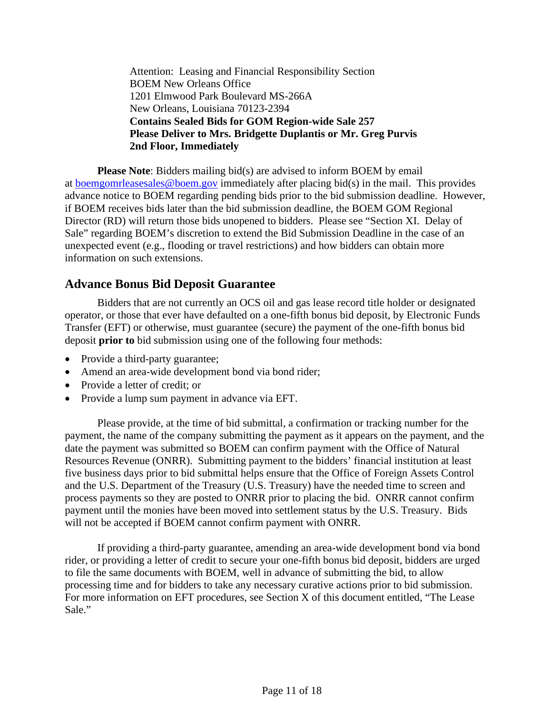Attention: Leasing and Financial Responsibility Section BOEM New Orleans Office 1201 Elmwood Park Boulevard MS-266A New Orleans, Louisiana 70123-2394 **Contains Sealed Bids for GOM Region-wide Sale 257 Please Deliver to Mrs. Bridgette Duplantis or Mr. Greg Purvis 2nd Floor, Immediately**

**Please Note**: Bidders mailing bid(s) are advised to inform BOEM by email at [boemgomrleasesales@boem.gov](mailto:boemgomrleasesales@boem.gov) immediately after placing bid(s) in the mail. This provides advance notice to BOEM regarding pending bids prior to the bid submission deadline. However, if BOEM receives bids later than the bid submission deadline, the BOEM GOM Regional Director (RD) will return those bids unopened to bidders. Please see "Section XI. Delay of Sale" regarding BOEM's discretion to extend the Bid Submission Deadline in the case of an unexpected event (e.g., flooding or travel restrictions) and how bidders can obtain more information on such extensions.

#### **Advance Bonus Bid Deposit Guarantee**

Bidders that are not currently an OCS oil and gas lease record title holder or designated operator, or those that ever have defaulted on a one-fifth bonus bid deposit, by Electronic Funds Transfer (EFT) or otherwise, must guarantee (secure) the payment of the one-fifth bonus bid deposit **prior to** bid submission using one of the following four methods:

- Provide a third-party guarantee;
- Amend an area-wide development bond via bond rider;
- Provide a letter of credit: or
- Provide a lump sum payment in advance via EFT.

Please provide, at the time of bid submittal, a confirmation or tracking number for the payment, the name of the company submitting the payment as it appears on the payment, and the date the payment was submitted so BOEM can confirm payment with the Office of Natural Resources Revenue (ONRR). Submitting payment to the bidders' financial institution at least five business days prior to bid submittal helps ensure that the Office of Foreign Assets Control and the U.S. Department of the Treasury (U.S. Treasury) have the needed time to screen and process payments so they are posted to ONRR prior to placing the bid. ONRR cannot confirm payment until the monies have been moved into settlement status by the U.S. Treasury. Bids will not be accepted if BOEM cannot confirm payment with ONRR.

If providing a third-party guarantee, amending an area-wide development bond via bond rider, or providing a letter of credit to secure your one-fifth bonus bid deposit, bidders are urged to file the same documents with BOEM, well in advance of submitting the bid, to allow processing time and for bidders to take any necessary curative actions prior to bid submission. For more information on EFT procedures, see Section X of this document entitled, "The Lease Sale."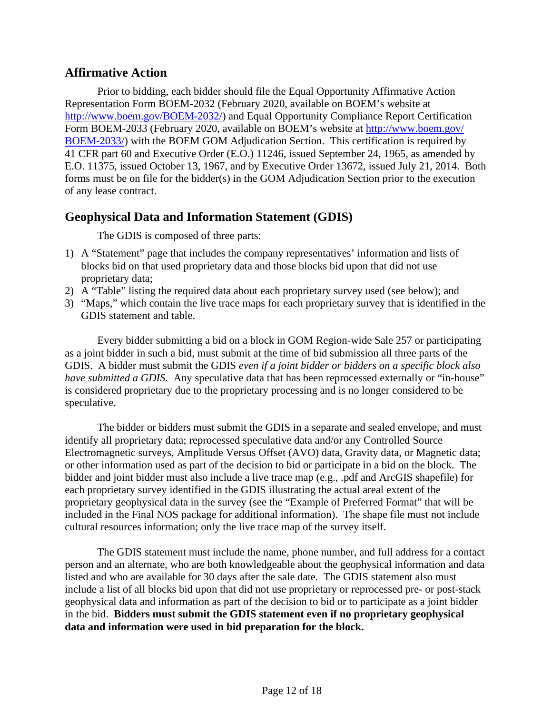#### **Affirmative Action**

Prior to bidding, each bidder should file the Equal Opportunity Affirmative Action Representation Form BOEM-2032 (February 2020, available on BOEM's website at [http://www.boem.gov/BOEM-2032/\)](http://www.boem.gov/BOEM-2032/) and Equal Opportunity Compliance Report Certification Form BOEM-2033 (February 2020, available on BOEM's website at [http://www.boem.gov/](http://www.boem.gov/BOEM-2033/) [BOEM-2033/\)](http://www.boem.gov/BOEM-2033/) with the BOEM GOM Adjudication Section. This certification is required by 41 CFR part 60 and Executive Order (E.O.) 11246, issued September 24, 1965, as amended by E.O. 11375, issued October 13, 1967, and by Executive Order 13672, issued July 21, 2014. Both forms must be on file for the bidder(s) in the GOM Adjudication Section prior to the execution of any lease contract.

## **Geophysical Data and Information Statement (GDIS)**

The GDIS is composed of three parts:

- 1) A "Statement" page that includes the company representatives' information and lists of blocks bid on that used proprietary data and those blocks bid upon that did not use proprietary data;
- 2) A "Table" listing the required data about each proprietary survey used (see below); and
- 3) "Maps," which contain the live trace maps for each proprietary survey that is identified in the GDIS statement and table.

Every bidder submitting a bid on a block in GOM Region-wide Sale 257 or participating as a joint bidder in such a bid, must submit at the time of bid submission all three parts of the GDIS. A bidder must submit the GDIS *even if a joint bidder or bidders on a specific block also have submitted a GDIS.* Any speculative data that has been reprocessed externally or "in-house" is considered proprietary due to the proprietary processing and is no longer considered to be speculative.

The bidder or bidders must submit the GDIS in a separate and sealed envelope, and must identify all proprietary data; reprocessed speculative data and/or any Controlled Source Electromagnetic surveys, Amplitude Versus Offset (AVO) data, Gravity data, or Magnetic data; or other information used as part of the decision to bid or participate in a bid on the block. The bidder and joint bidder must also include a live trace map (e.g., .pdf and ArcGIS shapefile) for each proprietary survey identified in the GDIS illustrating the actual areal extent of the proprietary geophysical data in the survey (see the "Example of Preferred Format" that will be included in the Final NOS package for additional information). The shape file must not include cultural resources information; only the live trace map of the survey itself.

The GDIS statement must include the name, phone number, and full address for a contact person and an alternate, who are both knowledgeable about the geophysical information and data listed and who are available for 30 days after the sale date. The GDIS statement also must include a list of all blocks bid upon that did not use proprietary or reprocessed pre- or post-stack geophysical data and information as part of the decision to bid or to participate as a joint bidder in the bid. **Bidders must submit the GDIS statement even if no proprietary geophysical data and information were used in bid preparation for the block.**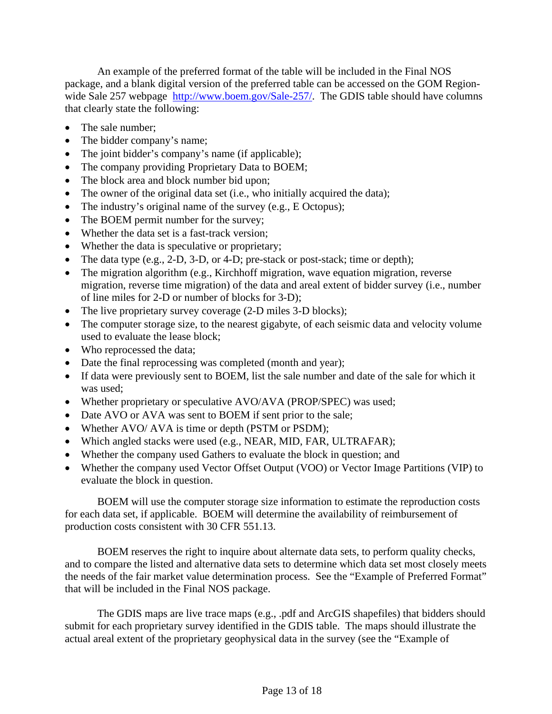An example of the preferred format of the table will be included in the Final NOS package, and a blank digital version of the preferred table can be accessed on the GOM RegionwideSale 257 webpage [http://www.boem.gov/Sale-257/.](http://www.boem.gov/Sale-257/) The GDIS table should have columns that clearly state the following:

- The sale number;
- The bidder company's name;
- The joint bidder's company's name (if applicable);
- The company providing Proprietary Data to BOEM;
- The block area and block number bid upon;
- The owner of the original data set (i.e., who initially acquired the data);
- The industry's original name of the survey (e.g., E Octopus);
- The BOEM permit number for the survey;
- Whether the data set is a fast-track version:
- Whether the data is speculative or proprietary;
- The data type (e.g., 2-D, 3-D, or 4-D; pre-stack or post-stack; time or depth);
- The migration algorithm (e.g., Kirchhoff migration, wave equation migration, reverse migration, reverse time migration) of the data and areal extent of bidder survey (i.e., number of line miles for 2-D or number of blocks for 3-D);
- The live proprietary survey coverage (2-D miles 3-D blocks);
- The computer storage size, to the nearest gigabyte, of each seismic data and velocity volume used to evaluate the lease block;
- Who reprocessed the data;
- Date the final reprocessing was completed (month and year);
- If data were previously sent to BOEM, list the sale number and date of the sale for which it was used;
- Whether proprietary or speculative AVO/AVA (PROP/SPEC) was used;
- Date AVO or AVA was sent to BOEM if sent prior to the sale;
- Whether AVO/ AVA is time or depth (PSTM or PSDM);
- Which angled stacks were used (e.g., NEAR, MID, FAR, ULTRAFAR);
- Whether the company used Gathers to evaluate the block in question; and
- Whether the company used Vector Offset Output (VOO) or Vector Image Partitions (VIP) to evaluate the block in question.

BOEM will use the computer storage size information to estimate the reproduction costs for each data set, if applicable. BOEM will determine the availability of reimbursement of production costs consistent with 30 CFR 551.13.

BOEM reserves the right to inquire about alternate data sets, to perform quality checks, and to compare the listed and alternative data sets to determine which data set most closely meets the needs of the fair market value determination process. See the "Example of Preferred Format" that will be included in the Final NOS package.

The GDIS maps are live trace maps (e.g., .pdf and ArcGIS shapefiles) that bidders should submit for each proprietary survey identified in the GDIS table. The maps should illustrate the actual areal extent of the proprietary geophysical data in the survey (see the "Example of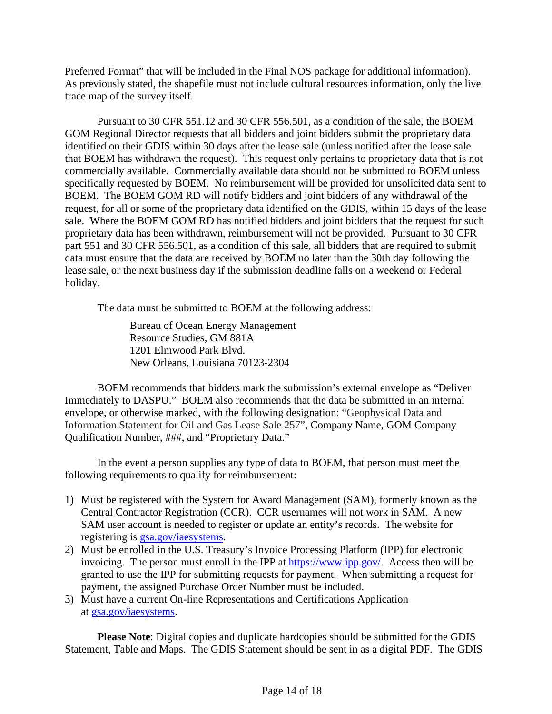Preferred Format" that will be included in the Final NOS package for additional information). As previously stated, the shapefile must not include cultural resources information, only the live trace map of the survey itself.

Pursuant to 30 CFR 551.12 and 30 CFR 556.501, as a condition of the sale, the BOEM GOM Regional Director requests that all bidders and joint bidders submit the proprietary data identified on their GDIS within 30 days after the lease sale (unless notified after the lease sale that BOEM has withdrawn the request). This request only pertains to proprietary data that is not commercially available. Commercially available data should not be submitted to BOEM unless specifically requested by BOEM. No reimbursement will be provided for unsolicited data sent to BOEM. The BOEM GOM RD will notify bidders and joint bidders of any withdrawal of the request, for all or some of the proprietary data identified on the GDIS, within 15 days of the lease sale. Where the BOEM GOM RD has notified bidders and joint bidders that the request for such proprietary data has been withdrawn, reimbursement will not be provided. Pursuant to 30 CFR part 551 and 30 CFR 556.501, as a condition of this sale, all bidders that are required to submit data must ensure that the data are received by BOEM no later than the 30th day following the lease sale, or the next business day if the submission deadline falls on a weekend or Federal holiday.

The data must be submitted to BOEM at the following address:

Bureau of Ocean Energy Management Resource Studies, GM 881A 1201 Elmwood Park Blvd. New Orleans, Louisiana 70123-2304

BOEM recommends that bidders mark the submission's external envelope as "Deliver Immediately to DASPU." BOEM also recommends that the data be submitted in an internal envelope, or otherwise marked, with the following designation: "Geophysical Data and Information Statement for Oil and Gas Lease Sale 257", Company Name, GOM Company Qualification Number, ###, and "Proprietary Data."

In the event a person supplies any type of data to BOEM, that person must meet the following requirements to qualify for reimbursement:

- 1) Must be registered with the System for Award Management (SAM), formerly known as the Central Contractor Registration (CCR). CCR usernames will not work in SAM. A new SAM user account is needed to register or update an entity's records. The website for registering is **gsa.gov/iaesystems.**
- 2) Must be enrolled in the U.S. Treasury's Invoice Processing Platform (IPP) for electronic invoicing. The person must enroll in the IPP at [https://www.ipp.gov/.](https://www.ipp.gov/) Access then will be granted to use the IPP for submitting requests for payment. When submitting a request for payment, the assigned Purchase Order Number must be included.
- 3) Must have a current On-line Representations and Certifications Application at [gsa.gov/iaesystems.](http://gsa.gov/iaesystems)

**Please Note**: Digital copies and duplicate hardcopies should be submitted for the GDIS Statement, Table and Maps. The GDIS Statement should be sent in as a digital PDF. The GDIS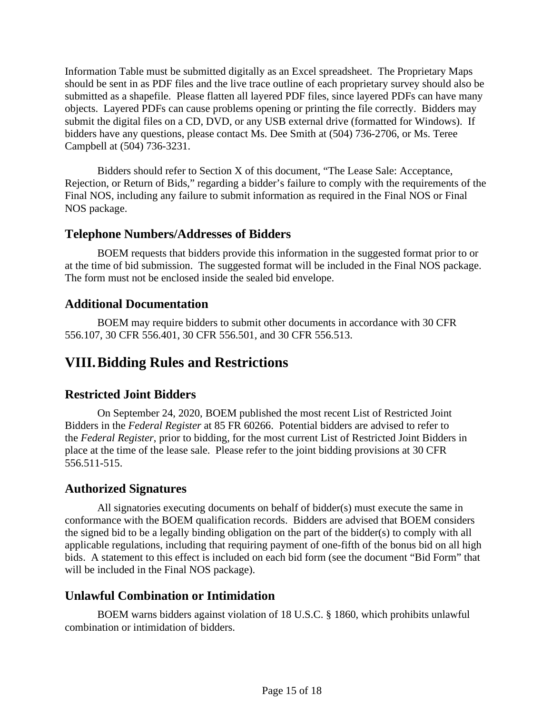Information Table must be submitted digitally as an Excel spreadsheet. The Proprietary Maps should be sent in as PDF files and the live trace outline of each proprietary survey should also be submitted as a shapefile. Please flatten all layered PDF files, since layered PDFs can have many objects. Layered PDFs can cause problems opening or printing the file correctly. Bidders may submit the digital files on a CD, DVD, or any USB external drive (formatted for Windows). If bidders have any questions, please contact Ms. Dee Smith at (504) 736-2706, or Ms. Teree Campbell at (504) 736-3231.

Bidders should refer to Section X of this document, "The Lease Sale: Acceptance, Rejection, or Return of Bids," regarding a bidder's failure to comply with the requirements of the Final NOS, including any failure to submit information as required in the Final NOS or Final NOS package.

## **Telephone Numbers/Addresses of Bidders**

BOEM requests that bidders provide this information in the suggested format prior to or at the time of bid submission. The suggested format will be included in the Final NOS package. The form must not be enclosed inside the sealed bid envelope.

## **Additional Documentation**

BOEM may require bidders to submit other documents in accordance with 30 CFR 556.107, 30 CFR 556.401, 30 CFR 556.501, and 30 CFR 556.513.

# <span id="page-14-0"></span>**VIII.Bidding Rules and Restrictions**

## **Restricted Joint Bidders**

On September 24, 2020, BOEM published the most recent List of Restricted Joint Bidders in the *Federal Register* at 85 FR 60266. Potential bidders are advised to refer to the *Federal Register*, prior to bidding, for the most current List of Restricted Joint Bidders in place at the time of the lease sale. Please refer to the joint bidding provisions at 30 CFR 556.511-515.

## **Authorized Signatures**

All signatories executing documents on behalf of bidder(s) must execute the same in conformance with the BOEM qualification records. Bidders are advised that BOEM considers the signed bid to be a legally binding obligation on the part of the bidder(s) to comply with all applicable regulations, including that requiring payment of one-fifth of the bonus bid on all high bids. A statement to this effect is included on each bid form (see the document "Bid Form" that will be included in the Final NOS package).

#### **Unlawful Combination or Intimidation**

BOEM warns bidders against violation of 18 U.S.C. § 1860, which prohibits unlawful combination or intimidation of bidders.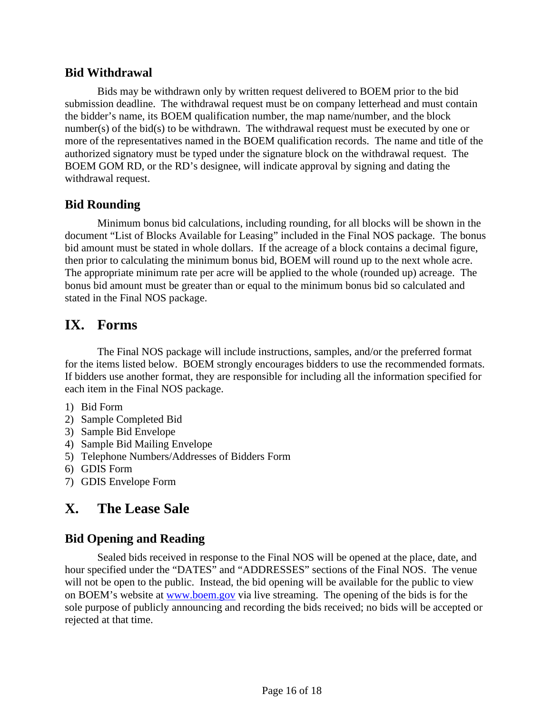#### **Bid Withdrawal**

Bids may be withdrawn only by written request delivered to BOEM prior to the bid submission deadline. The withdrawal request must be on company letterhead and must contain the bidder's name, its BOEM qualification number, the map name/number, and the block number(s) of the bid(s) to be withdrawn. The withdrawal request must be executed by one or more of the representatives named in the BOEM qualification records. The name and title of the authorized signatory must be typed under the signature block on the withdrawal request. The BOEM GOM RD, or the RD's designee, will indicate approval by signing and dating the withdrawal request.

#### **Bid Rounding**

Minimum bonus bid calculations, including rounding, for all blocks will be shown in the document "List of Blocks Available for Leasing" included in the Final NOS package. The bonus bid amount must be stated in whole dollars. If the acreage of a block contains a decimal figure, then prior to calculating the minimum bonus bid, BOEM will round up to the next whole acre. The appropriate minimum rate per acre will be applied to the whole (rounded up) acreage. The bonus bid amount must be greater than or equal to the minimum bonus bid so calculated and stated in the Final NOS package.

## <span id="page-15-0"></span>**IX. Forms**

The Final NOS package will include instructions, samples, and/or the preferred format for the items listed below. BOEM strongly encourages bidders to use the recommended formats. If bidders use another format, they are responsible for including all the information specified for each item in the Final NOS package.

- 1) Bid Form
- 2) Sample Completed Bid
- 3) Sample Bid Envelope
- 4) Sample Bid Mailing Envelope
- 5) Telephone Numbers/Addresses of Bidders Form
- 6) GDIS Form
- 7) GDIS Envelope Form

# <span id="page-15-1"></span>**X. The Lease Sale**

## **Bid Opening and Reading**

Sealed bids received in response to the Final NOS will be opened at the place, date, and hour specified under the "DATES" and "ADDRESSES" sections of the Final NOS. The venue will not be open to the public. Instead, the bid opening will be available for the public to view on BOEM's website at [www.boem.gov](http://www.boem.gov/) via live streaming. The opening of the bids is for the sole purpose of publicly announcing and recording the bids received; no bids will be accepted or rejected at that time.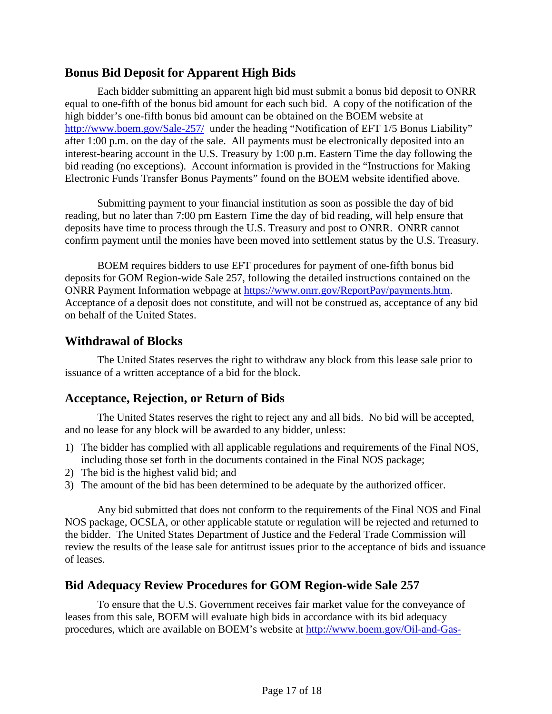### **Bonus Bid Deposit for Apparent High Bids**

Each bidder submitting an apparent high bid must submit a bonus bid deposit to ONRR equal to one-fifth of the bonus bid amount for each such bid. A copy of the notification of the high bidder's one-fifth bonus bid amount can be obtained on the BOEM website at <http://www.boem.gov/Sale-257/>under the heading "Notification of EFT 1/5 Bonus Liability" after 1:00 p.m. on the day of the sale. All payments must be electronically deposited into an interest-bearing account in the U.S. Treasury by 1:00 p.m. Eastern Time the day following the bid reading (no exceptions). Account information is provided in the "Instructions for Making Electronic Funds Transfer Bonus Payments" found on the BOEM website identified above.

Submitting payment to your financial institution as soon as possible the day of bid reading, but no later than 7:00 pm Eastern Time the day of bid reading, will help ensure that deposits have time to process through the U.S. Treasury and post to ONRR. ONRR cannot confirm payment until the monies have been moved into settlement status by the U.S. Treasury.

BOEM requires bidders to use EFT procedures for payment of one-fifth bonus bid deposits for GOM Region-wide Sale 257, following the detailed instructions contained on the ONRR Payment Information webpage at [https://www.onrr.gov/ReportPay/payments.htm.](https://www.onrr.gov/ReportPay/payments.htm) Acceptance of a deposit does not constitute, and will not be construed as, acceptance of any bid on behalf of the United States.

#### **Withdrawal of Blocks**

The United States reserves the right to withdraw any block from this lease sale prior to issuance of a written acceptance of a bid for the block.

## **Acceptance, Rejection, or Return of Bids**

The United States reserves the right to reject any and all bids. No bid will be accepted, and no lease for any block will be awarded to any bidder, unless:

- 1) The bidder has complied with all applicable regulations and requirements of the Final NOS, including those set forth in the documents contained in the Final NOS package;
- 2) The bid is the highest valid bid; and
- 3) The amount of the bid has been determined to be adequate by the authorized officer.

Any bid submitted that does not conform to the requirements of the Final NOS and Final NOS package, OCSLA, or other applicable statute or regulation will be rejected and returned to the bidder. The United States Department of Justice and the Federal Trade Commission will review the results of the lease sale for antitrust issues prior to the acceptance of bids and issuance of leases.

#### **Bid Adequacy Review Procedures for GOM Region-wide Sale 257**

To ensure that the U.S. Government receives fair market value for the conveyance of leases from this sale, BOEM will evaluate high bids in accordance with its bid adequacy procedures, which are available on BOEM's website at [http://www.boem.gov/Oil-and-Gas-](http://www.boem.gov/Oil-and-Gas-Energy-Program/Leasing/Regional-Leasing/Gulf-of-Mexico-Region/Bid-Adequacy-Procedures.aspx)